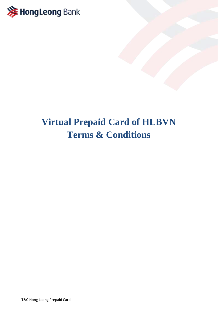

## **Virtual Prepaid Card of HLBVN Terms & Conditions**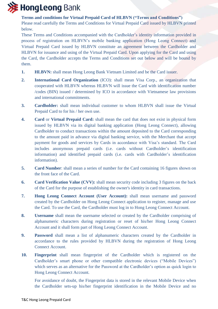

**Terms and conditions for Virtual Prepaid Card of HLBVN ("Terms and Conditions")**

Please read carefully the Terms and Conditions for Virtual Prepaid Card issued by HLBVN printed below.

These Terms and Conditions accompanied with the Cardholder's identity information provided in process of registration on HLBVN's mobile banking application (Hong Leong Connect) and Virtual Prepaid Card issued by HLBVN constitute an agreement between the Cardholder and HLBVN for issuance and using of the Virtual Prepaid Card. Upon applying for the Card and using the Card, the Cardholder accepts the Terms and Conditions set out below and will be bound by them.

- **1. HLBVN:** shall mean Hong Leong Bank Vietnam Limited and be the Card issuer.
- **2. International Card Organization** (ICO): shall mean Visa Corp., an organization that cooperated with HLBVN whereas HLBVN will issue the Card with identification number /codes (BIN) issued / determined by ICO in accordance with Vietnamese law provisions and international commitments.
- **3. Cardholder:** shall mean individual customer to whom HLBVN shall issue the Virtual Prepaid Card to for his / her own use.
- **4. Card** or **Virtual Prepaid Card:** shall mean the card that does not exist in physical form issued by HLBVN via its digital banking application (Hong Leong Connect), allowing Cardholder to conduct transactions within the amount deposited to the Card corresponding to the amount paid in advance via digital banking service, with the Merchant that accept payment for goods and services by Cards in accordance with Visa's standard. The Card includes anonymous prepaid cards (i.e. cards without Cardholder's identification information) and identified prepaid cards (i.e. cards with Cardholder's identification information).
- **5. Card Number**: shall mean a series of number for the Card containing 16 figures shown on the front face of the Card.
- **6. Card Verification Value (CVV):** shall mean security code including 3 figures on the back of the Card for the purpose of establishing the owner's identity in card transactions.
- **7. Hong Leong Connect Account (User Account):** shall mean username and password created by the Cardholder on Hong Leong Connect application to register, manage and use the Card. To use the Card, the Cardholder must log in to Hong Leong Connect Account.
- **8. Username** shall mean the username selected or created by the Cardholder comprising of alphanumeric characters during registration or reset of his/her Hong Leong Connect Account and it shall form part of Hong Leong Connect Account.
- **9. Password** shall mean a list of alphanumeric characters created by the Cardholder in accordance to the rules provided by HLBVN during the registration of Hong Leong Connect Account.
- **10. Fingerprint** shall mean fingerprint of the Cardholder which is registered on the Cardholder's smart phone or other compatible electronic devices ("Mobile Devices") which serves as an alternative for the Password at the Cardholder's option as quick login to Hong Leong Connect Account.

For avoidance of doubt, the Fingerprint data is stored in the relevant Mobile Device when the Cardholder sets-up his/her fingerprint identification in the Mobile Device and no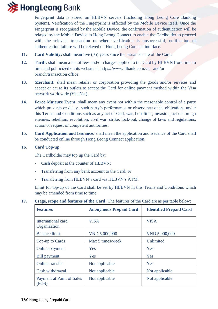

Fingerprint data is stored on HLBVN servers (including Hong Leong Core Banking System). Verification of the Fingerprint is effected by the Mobile Device itself. Once the Fingerprint is recognised by the Mobile Device, the confirmation of authentication will be relayed by the Mobile Device to Hong Leong Connect to enable the Cardholder to proceed with the relevant transaction or where verification is unsuccessful, notification of authentication failure will be relayed on Hong Leong Connect interface.

- **11. Card Validity:** shall mean five (05) years since the issuance date of the Card.
- **12. Tariff**: shall mean a list of fees and/or charges applied to the Card by HLBVN from time to time and publicized on its website at https://www/hlbank.com.vn and/or branch/transaction office.
- **13. Merchant:** shall mean retailer or corporation providing the goods and/or services and accept or cause its outlets to accept the Card for online payment method within the Visa network worldwide (VisaNet).
- **14. Force Majeure Event**: shall mean any event not within the reasonable control of a party which prevents or delays such party's performance or observance of its obligations under this Terms and Conditions such as any act of God, war, hostilities, invasion, act of foreign enemies, rebellion, revolution, civil war, strike, lock-out, change of laws and regulations, action or request of competent authorities.
- **15. Card Application and Issuance:** shall mean the application and issuance of the Card shall be conducted online through Hong Leong Connect application.

### **16. Card Top-up**

The Cardholder may top up the Card by:

- Cash deposit at the counter of HLBVN;
- Transferring from any bank account to the Card; or
- Transferring from HLBVN's card via HLBVN's ATM.

Limit for top-up of the Card shall be set by HLBVN in this Terms and Conditions which may be amended from time to time.

#### **17. Usage, scope and features of the Card:** The features of the Card are as per table below:

| <b>Features</b>                    | <b>Anonymous Prepaid Card</b> | <b>Identified Prepaid Card</b> |
|------------------------------------|-------------------------------|--------------------------------|
| International card<br>Organization | <b>VISA</b>                   | <b>VISA</b>                    |
| <b>Balance limit</b>               | VND 5,000,000                 | VND 5,000,000                  |
| Top-up to Cards                    | Max 5 times/week              | Unlimited                      |
| Online payment                     | <b>Yes</b>                    | Yes                            |
| Bill payment                       | Yes                           | Yes                            |
| Online transfer                    | Not applicable                | Yes                            |
| Cash withdrawal                    | Not applicable                | Not applicable                 |
| Payment at Point of Sales<br>(POS) | Not applicable                | Not applicable                 |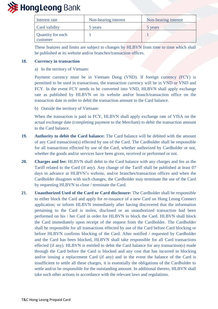

| Interest rate                        | Non-bearing interest | Non-bearing interest |
|--------------------------------------|----------------------|----------------------|
| Card validity                        | 5 years              | 5 years              |
| <b>Quantity for each</b><br>customer |                      |                      |

These features and limits are subject to changes by HLBVN from time to time which shall be published at its website and/or branches/transaction offices.

#### **18. Currency in transaction**

a) In the territory of Vietnam:

Payment currency must be in Vietnam Dong (VND). If foreign currency (FCY) is permitted to be used in transactions, the transaction currency will be in VND or VND and FCY. In the event FCY needs to be converted into VND, HLBVN shall apply exchange rate as published by HLBVN on its website and/or branch/transaction office on the transaction date in order to debit the transaction amount to the Card balance.

b) Outside the territory of Vietnam:

When the transaction is paid in FCY, HLBVN shall apply exchange rate of VISA on the actual exchange date (completing payment to the Merchant) to debit the transaction amount to the Card balance.

- **19. Authority to debit the Card balance:** The Card balance will be debited with the amount of any Card transaction(s) effected by use of the Card. The Cardholder shall be responsible for all transactions effected by use of the Card, whether authorized by Cardholder or not, whether the goods and/or services have been given, received or performed or not.
- **20. Charges and fee:** HLBVN shall debit to the Card balance with any charges and fee as the Tariff related to the Card (if any). Any change of the Tariff shall be published at least 07 days in advance at HLBVN's website, and/or branches/transaction offices and when the Cardholder disagrees with such changes, the Cardholder may terminate the use of the Card by requesting HLBVN to close / terminate the Card.
- **21. Unauthorized Used of the Card or Card disclosure:** The Cardholder shall be responsible to either block the Card and apply for re-issuance of a new Card on Hong Leong Connect application; or inform HLBVN immediately after having discovered that the information pertaining to the Card is stolen, disclosed or an unauthorized transaction had been performed on his / her Card in order for HLBVN to block the Card. HLBVN shall block the Card immediately upon receipt of the request from the Cardholder. The Cardholder shall be responsible for all transactions effected by use of the Card before Card blocking or before HLBVN confirms blocking of the Card. After notified / requested by Cardholder and the Card has been blocked, HLBVN shall take responsible for all Card transactions effected (if any). HLBVN is entitled to debit the Card balance for any transaction(s) made through the Card before the Card is blocked and any cost that has incurred in blocking and/or issuing a replacement Card (if any) and in the event the balance of the Card is insufficient to settle all these charges, it is essentially the obligations of the Cardholder to settle and/or be responsible for the outstanding amount. In additional thereto, HLBVN shall take such other actions in accordance with the relevant laws and regulations.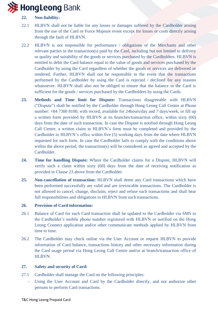# **》HongLeong** Bank

## **22. Non-liability:**

- 22.1 HLBVN shall not be liable for any losses or damages suffered by the Cardholder arising from the use of the Card or Force Majeure event except for losses or costs directly arising through the fault of HLBVN.
- 22.2 HLBVN is not responsible for performance / obligations of the Merchants and other relevant parties in the transaction(s) paid by the Card, including but not limited to delivery or quality and suitability of the goods or services purchased by the Cardholders. HLBVN is entitled to debit the Card balance equal to the value of goods and services purchased by the Cardholder by using the Card regardless of whether the goods or services are delivered or rendered. Further, HLBVN shall not be responsible in the event that the transactions performed by the Cardholder by using the Card is rejected / declined for any reasons whatsoever. HLBVN shall also not be obliged to ensure that the balance in the Card is sufficient for the goods / services purchased by the Cardholders by using the Cards.
- **23. Methods and Time limit for Dispute:** Transactions disagreeable with HLBVN ("Dispute") shall be notified by the Cardholder through Hong Leong Call Centre at Phone number: +84 7300 8100, with record, available for 24hours/day and 7 days/week, or fill up a written form provided by HLBVN at its branches/transaction office, within sixty (60) days from the date of such transaction. In case the Dispute is notified through Hong Leong Call Centre, a written claim in HLBVN's form must be completed and provided by the Cardholder to HLBVN's office within five (5) working days from the date where HLBVN requested for such form. In case the Cardholder fails to comply with the conditions above within the above period, the transaction(s) will be considered as agreed and accepted by the Cardholder.
- **24. Time for handling Dispute:** Where the Cardholder claims for a Dispute, HLBVN will verify such a claim within sixty (60) days from the date of receiving notification as provided in Clause 23 above from the Cardholder.
- **25. Non-cancellation of transaction:** HLBVN shall deem any Card transactions which have been performed successfully are valid and are irrevocable transactions. The Cardholder is not allowed to cancel, change, disclaim, reject and refuse such transactions and shall bear full responsibilities and obligations to HLBVN from such transactions.

## **26. Provision of Card information:**

- 26.1 Balance of Card for each Card transaction shall be updated to the Cardholder via SMS to the Cardholder's mobile phone number registered with HLBVN or notified on the Hong Leong Connect application and/or other communicate methods applied by HLBVN from time to time.
- 26.2 The Cardholder may check online via the User Account or request HLBVN to provide information of Card balance, transactions history and other necessary information during the Card usage period via Hong Leong Call Centre and/or at branch/transaction office of HLBVN.

## **27. Safety and security of Card:**

- 27.1 Cardholder shall manage the Card on the following principles:
	- Using the User Account and Card by the Cardholder directly, and not authorize other persons to perform Card transactions.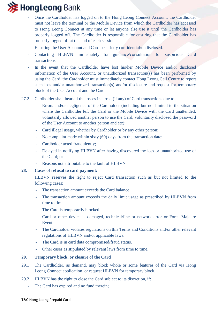

- Once the Cardholder has logged on to the Hong Leong Connect Account, the Cardholder must not leave the terminal or the Mobile Device from which the Cardholder has accessed to Hong Leong Connect at any time or let anyone else use it until the Cardholder has properly logged off. The Cardholder is responsible for ensuring that the Cardholder has properly logged off at the end of each session.
- Ensuring the User Account and Card be strictly confidential/undisclosed.
- Contacting HLBVN immediately for guidance/consultation for suspicious Card transactions
- In the event that the Cardholder have lost his/her Mobile Device and/or disclosed information of the User Account, or unauthorized transaction(s) has been performed by using the Card, the Cardholder must immediately contact Hong Leong Call Centre to report such loss and/or unauthorized transaction(s) and/or disclosure and request for temporary block of the User Account and the Card.
- 27.2 Cardholder shall bear all the losses incurred (if any) of Card transactions due to:
	- Errors and/or negligence of the Cardholder (including but not limited to the situation where the Cardholder left the Card or the Mobile Device with the Card unattended, voluntarily allowed another person to use the Card, voluntarily disclosed the password of the User Account to another person and etc);
	- Card illegal usage, whether by Cardholder or by any other person;
	- No complaint made within sixty (60) days from the transaction date;
	- Cardholder acted fraudulently;
	- Delayed in notifying HLBVN after having discovered the loss or unauthorized use of the Card; or
	- Reasons not attributable to the fault of HLBVN

#### **28. Cases of refusal to card payment:**

HLBVN reserves the right to reject Card transaction such as but not limited to the following cases:

- The transaction amount exceeds the Card balance.
- The transaction amount exceeds the daily limit usage as prescribed by HLBVN from time to time.
- The Card is temporarily blocked.
- Card or other device is damaged, technical/line or network error or Force Majeure Event.
- The Cardholder violates regulations on this Terms and Conditions and/or other relevant regulations of HLBVN and/or applicable laws.
- The Card is in card data compromised/fraud status.
- Other cases as stipulated by relevant laws from time to time.

#### **29. Temporary block, or closure of the Card**

- 29.1 The Cardholder, as demand, may block whole or some features of the Card via Hong Leong Connect application, or request HLBVN for temporary block.
- 29.2 HLBVN has the right to close the Card subject to its discretion, if:
	- The Card has expired and no fund therein;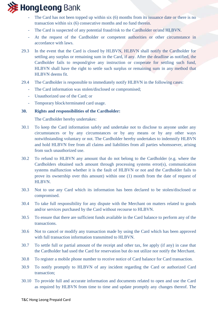# **》HongLeong** Bank

- The Card has not been topped up within six  $(6)$  months from its issuance date or there is no transaction within six (6) consecutive months and no fund therein.
- The Card is suspected of any potential fraud/risk to the Cardholder or/and HLBVN.
- At the request of the Cardholder or competent authorities or other circumstance in accordance with laws.
- 29.3 In the event that the Card is closed by HLBVN, HLBVN shall notify the Cardholder for settling any surplus or remaining sum in the Card, if any. After the deadline as notified, the Cardholder fails to respond/give any instruction or cooperate for settling such fund, HLBVN shall have the right to settle such surplus or remaining sum in any method that HLBVN deems fit.
- 29.4 The Cardholder is responsible to immediately notify HLBVN in the following cases:
	- The Card information was stolen/disclosed or compromised;
	- Unauthorized use of the Card; or
	- Temporary block/terminated card usage.

## **30. Rights and responsibilities of the Cardholder:**

The Cardholder hereby undertakes:

- 30.1 To keep the Card information safely and undertake not to disclose to anyone under any circumstances or by any circumstances or by any means or by any other ways notwithstanding voluntary or not. The Cardholder hereby undertakes to indemnify HLBVN and hold HLBVN free from all claims and liabilities from all parties whomsoever, arising from such unauthorized use.
- 30.2 To refund to HLBVN any amount that do not belong to the Cardholder (e.g. where the Cardholders obtained such amount through processing systems error(s), communication systems malfunction whether it is the fault of HLBVN or not and the Cardholder fails to prove its ownership over this amount) within one (1) month from the date of request of HLBVN.
- 30.3 Not to use any Card which its information has been declared to be stolen/disclosed or compromised.
- 30.4 To take full responsibility for any dispute with the Merchant on matters related to goods and/or services purchased by the Card without recourse to HLBVN.
- 30.5 To ensure that there are sufficient funds available in the Card balance to perform any of the transactions.
- 30.6 Not to cancel or modify any transaction made by using the Card which has been approved with full transaction information transmitted to HLBVN.
- 30.7 To settle full or partial amount of the receipt and other tax, fee apply (if any) in case that the Cardholder had used the Card for reservation but do not utilize nor notify the Merchant.
- 30.8 To register a mobile phone number to receive notice of Card balance for Card transaction.
- 30.9 To notify promptly to HLBVN of any incident regarding the Card or authorized Card transaction;
- 30.10 To provide full and accurate information and documents related to open and use the Card as required by HLBVN from time to time and update promptly any changes thereof. The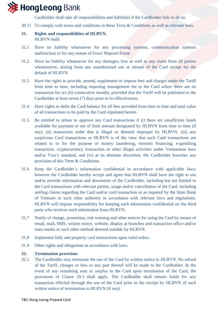

Cardholder shall take all responsibilities and liabilities if the Cardholder fails to do so.

30.11 To comply with terms and conditions in these Term & Conditions as well as relevant laws.

## **31. Rights and responsibilities of HLBVN.**  HLBVN shall:

- 31.1 Have no liability whatsoever for any processing systems, communication systems malfunction or for any reason of Force Majeure Event.
- 31.2 Have no liability whatsoever for any damages, loss as well as any claim from all parties whomsoever, arising from any unauthorized use or misuse of the Card except for the default of HLBVN.
- 31.3 Have the rights to provide, amend, supplement or impose fees and charges under the Tariff from time to time, including imposing management fee to the Card where there are no transaction for six (6) consecutive months, provided that the Tariff will be published to the Cardholder at least seven (7) days prior to its effectiveness.
- 31.4 Have rights to debit the Card balance for all fees provided from time to time and total value of all transactions to be paid by the Card stipulated herein.
- 31.5 Be entitled to refuse to approve any Card transactions if (i) there are insufficient funds available for payment or out of limit amount designated by HLBVN from time to time (if any), (ii) transaction order that is illegal or deemed improper by HLBVN, (iii) any suspicious Card transactions or HLBVN is of the view that such Card transactions are related to or for the purpose of money laundering, terrorist financing, e-gambling transaction, cryptocurrency transaction or other illegal activities under Vietnamese laws and/or Visa's standard, and (iv) at its absolute discretion, the Cardholder breaches any provision of this Term & Conditions.
- 31.6 Keep the Cardholder's information confidential in accordance with applicable laws; however the Cardholder hereby accept and agree that HLBVN shall have the right to use and/or provide information and documents of the Cardholder, including but not limited to the Card transactions with relevant parties, usage and/or cancellation of the Card, including settling claims regarding the Card and/or card transaction or as required by the State Bank of Vietnam or such other authority in accordance with relevant laws and regulations. HLBVN will impose responsibility for keeping such information confidential on the third party who receives such information from HLBVN.
- 31.7 Notify of change, promotion, risk warning and other notices for using the Card by means of email, mail, SMS, written notice, website, display at branches and transaction office and/or mass media or such other method deemed suitable by HLBVN.
- 31.8 Implement fully and properly card transactions upon valid orders.
- 31.9 Other rights and obligations in accordance with laws.

#### **32. Termination provision:**

32.1 The Cardholder may terminate the use of the Card by written notice to HLBVN. No refund of the Tariff, charges or fees or any part thereof will be made to the Cardholder. In the event of any remaining sum or surplus in the Card upon termination of the Card, the provisions of Clause 29.3 shall apply. The Cardholder shall remain liable for any transaction effected through the use of the Card prior to the receipt by HLBVN of such written notice of termination to HLBVN (if any).